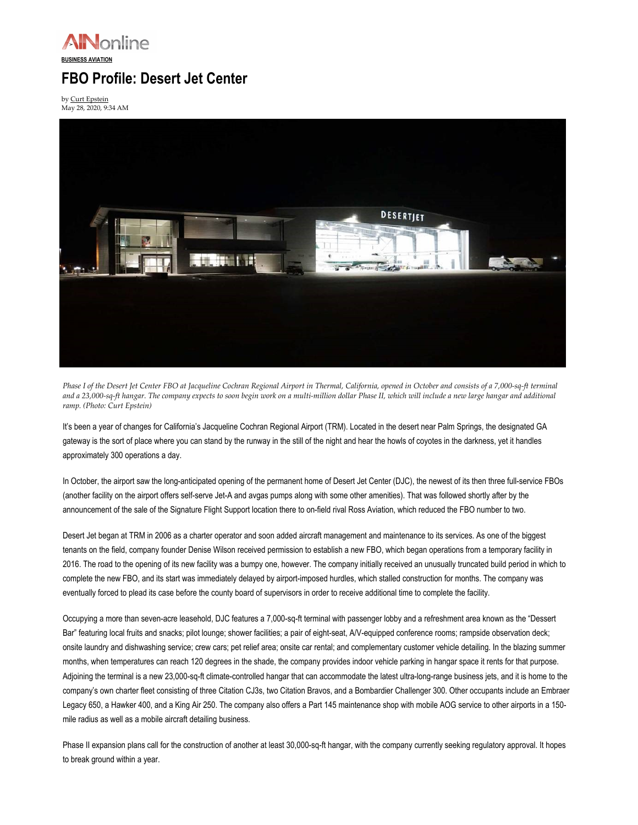

## FBO Profile: Desert Jet Center

by Curt Epstein May 28, 2020, 9:34 AM



Phase I of the Desert Jet Center FBO at Jacqueline Cochran Regional Airport in Thermal, California, opened in October and consists of a 7,000-sq-ft terminal and a 23,000-sq-ft hangar. The company expects to soon begin work on a multi-million dollar Phase II, which will include a new large hangar and additional ramp. (Photo: Curt Epstein)

It's been a year of changes for California's Jacqueline Cochran Regional Airport (TRM). Located in the desert near Palm Springs, the designated GA gateway is the sort of place where you can stand by the runway in the still of the night and hear the howls of coyotes in the darkness, yet it handles approximately 300 operations a day.

In October, the airport saw the long-anticipated opening of the permanent home of Desert Jet Center (DJC), the newest of its then three full-service FBOs (another facility on the airport offers self-serve Jet-A and avgas pumps along with some other amenities). That was followed shortly after by the announcement of the sale of the Signature Flight Support location there to on-field rival Ross Aviation, which reduced the FBO number to two.

Desert Jet began at TRM in 2006 as a charter operator and soon added aircraft management and maintenance to its services. As one of the biggest tenants on the field, company founder Denise Wilson received permission to establish a new FBO, which began operations from a temporary facility in 2016. The road to the opening of its new facility was a bumpy one, however. The company initially received an unusually truncated build period in which to complete the new FBO, and its start was immediately delayed by airport-imposed hurdles, which stalled construction for months. The company was eventually forced to plead its case before the county board of supervisors in order to receive additional time to complete the facility.

Occupying a more than seven-acre leasehold, DJC features a 7,000-sq-ft terminal with passenger lobby and a refreshment area known as the "Dessert Bar" featuring local fruits and snacks; pilot lounge; shower facilities; a pair of eight-seat, A/V-equipped conference rooms; rampside observation deck; onsite laundry and dishwashing service; crew cars; pet relief area; onsite car rental; and complementary customer vehicle detailing. In the blazing summer months, when temperatures can reach 120 degrees in the shade, the company provides indoor vehicle parking in hangar space it rents for that purpose. Adjoining the terminal is a new 23,000-sq-ft climate-controlled hangar that can accommodate the latest ultra-long-range business jets, and it is home to the company's own charter fleet consisting of three Citation CJ3s, two Citation Bravos, and a Bombardier Challenger 300. Other occupants include an Embraer Legacy 650, a Hawker 400, and a King Air 250. The company also offers a Part 145 maintenance shop with mobile AOG service to other airports in a 150 mile radius as well as a mobile aircraft detailing business.

Phase II expansion plans call for the construction of another at least 30,000-sq-ft hangar, with the company currently seeking regulatory approval. It hopes to break ground within a year.